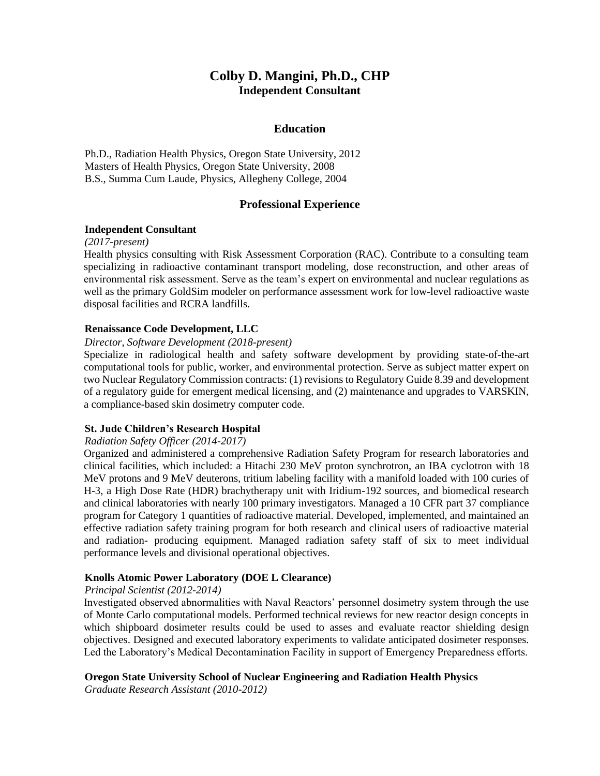# **Colby D. Mangini, Ph.D., CHP Independent Consultant**

### **Education**

Ph.D., Radiation Health Physics, Oregon State University, 2012 Masters of Health Physics, Oregon State University, 2008 B.S., Summa Cum Laude, Physics, Allegheny College, 2004

## **Professional Experience**

#### **Independent Consultant**

*(2017-present)*

Health physics consulting with Risk Assessment Corporation (RAC). Contribute to a consulting team specializing in radioactive contaminant transport modeling, dose reconstruction, and other areas of environmental risk assessment. Serve as the team's expert on environmental and nuclear regulations as well as the primary GoldSim modeler on performance assessment work for low-level radioactive waste disposal facilities and RCRA landfills.

#### **Renaissance Code Development, LLC**

#### *Director, Software Development (2018-present)*

Specialize in radiological health and safety software development by providing state-of-the-art computational tools for public, worker, and environmental protection. Serve as subject matter expert on two Nuclear Regulatory Commission contracts: (1) revisions to Regulatory Guide 8.39 and development of a regulatory guide for emergent medical licensing, and (2) maintenance and upgrades to VARSKIN, a compliance-based skin dosimetry computer code.

#### **St. Jude Children's Research Hospital**

#### *Radiation Safety Officer (2014-2017)*

Organized and administered a comprehensive Radiation Safety Program for research laboratories and clinical facilities, which included: a Hitachi 230 MeV proton synchrotron, an IBA cyclotron with 18 MeV protons and 9 MeV deuterons, tritium labeling facility with a manifold loaded with 100 curies of H-3, a High Dose Rate (HDR) brachytherapy unit with Iridium-192 sources, and biomedical research and clinical laboratories with nearly 100 primary investigators. Managed a 10 CFR part 37 compliance program for Category 1 quantities of radioactive material. Developed, implemented, and maintained an effective radiation safety training program for both research and clinical users of radioactive material and radiation- producing equipment. Managed radiation safety staff of six to meet individual performance levels and divisional operational objectives.

#### **Knolls Atomic Power Laboratory (DOE L Clearance)**

#### *Principal Scientist (2012-2014)*

Investigated observed abnormalities with Naval Reactors' personnel dosimetry system through the use of Monte Carlo computational models. Performed technical reviews for new reactor design concepts in which shipboard dosimeter results could be used to asses and evaluate reactor shielding design objectives. Designed and executed laboratory experiments to validate anticipated dosimeter responses. Led the Laboratory's Medical Decontamination Facility in support of Emergency Preparedness efforts.

#### **Oregon State University School of Nuclear Engineering and Radiation Health Physics**

*Graduate Research Assistant (2010-2012)*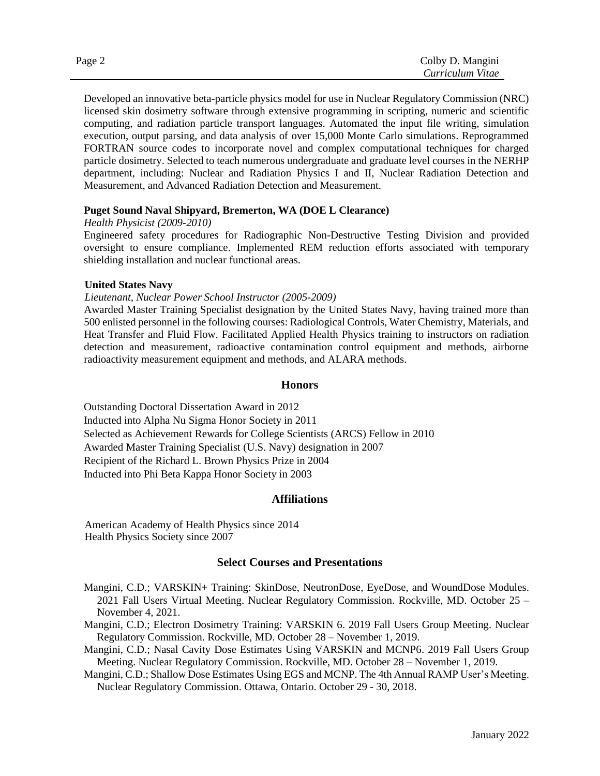| Page 2 | Colby D. Mangini |
|--------|------------------|
|        | Curriculum Vitae |

Developed an innovative beta-particle physics model for use in Nuclear Regulatory Commission (NRC) licensed skin dosimetry software through extensive programming in scripting, numeric and scientific computing, and radiation particle transport languages. Automated the input file writing, simulation execution, output parsing, and data analysis of over 15,000 Monte Carlo simulations. Reprogrammed FORTRAN source codes to incorporate novel and complex computational techniques for charged particle dosimetry. Selected to teach numerous undergraduate and graduate level courses in the NERHP department, including: Nuclear and Radiation Physics I and II, Nuclear Radiation Detection and Measurement, and Advanced Radiation Detection and Measurement.

### **Puget Sound Naval Shipyard, Bremerton, WA (DOE L Clearance)**

*Health Physicist (2009-2010)*

Engineered safety procedures for Radiographic Non-Destructive Testing Division and provided oversight to ensure compliance. Implemented REM reduction efforts associated with temporary shielding installation and nuclear functional areas.

#### **United States Navy**

#### *Lieutenant, Nuclear Power School Instructor (2005-2009)*

Awarded Master Training Specialist designation by the United States Navy, having trained more than 500 enlisted personnel in the following courses: Radiological Controls, Water Chemistry, Materials, and Heat Transfer and Fluid Flow. Facilitated Applied Health Physics training to instructors on radiation detection and measurement, radioactive contamination control equipment and methods, airborne radioactivity measurement equipment and methods, and ALARA methods.

### **Honors**

Outstanding Doctoral Dissertation Award in 2012 Inducted into Alpha Nu Sigma Honor Society in 2011 Selected as Achievement Rewards for College Scientists (ARCS) Fellow in 2010 Awarded Master Training Specialist (U.S. Navy) designation in 2007 Recipient of the Richard L. Brown Physics Prize in 2004 Inducted into Phi Beta Kappa Honor Society in 2003

#### **Affiliations**

American Academy of Health Physics since 2014 Health Physics Society since 2007

# **Select Courses and Presentations**

- Mangini, C.D.; VARSKIN+ Training: SkinDose, NeutronDose, EyeDose, and WoundDose Modules. 2021 Fall Users Virtual Meeting. Nuclear Regulatory Commission. Rockville, MD. October 25 – November 4, 2021.
- Mangini, C.D.; Electron Dosimetry Training: VARSKIN 6. 2019 Fall Users Group Meeting. Nuclear Regulatory Commission. Rockville, MD. October 28 – November 1, 2019.
- Mangini, C.D.; Nasal Cavity Dose Estimates Using VARSKIN and MCNP6. 2019 Fall Users Group Meeting. Nuclear Regulatory Commission. Rockville, MD. October 28 – November 1, 2019.

Mangini, C.D.; Shallow Dose Estimates Using EGS and MCNP. The 4th Annual RAMP User's Meeting. Nuclear Regulatory Commission. Ottawa, Ontario. October 29 - 30, 2018.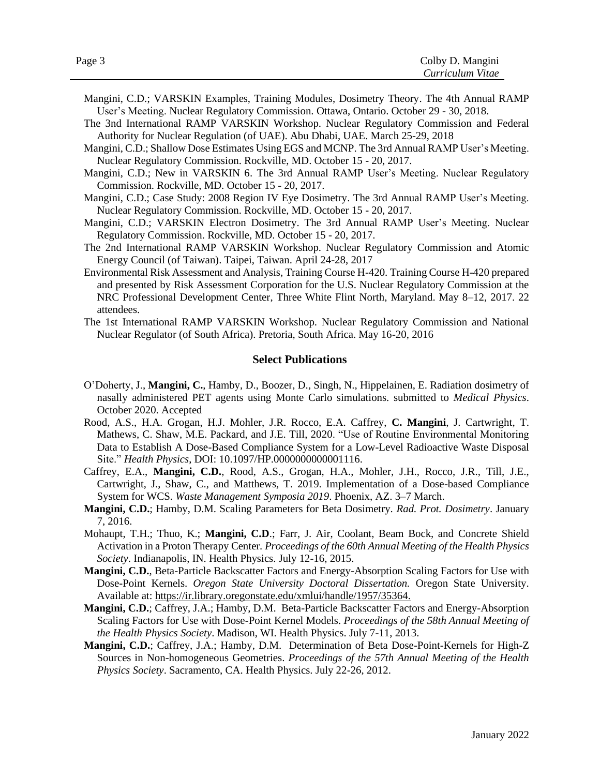- Mangini, C.D.; VARSKIN Examples, Training Modules, Dosimetry Theory. The 4th Annual RAMP User's Meeting. Nuclear Regulatory Commission. Ottawa, Ontario. October 29 - 30, 2018.
- The 3nd International RAMP VARSKIN Workshop. Nuclear Regulatory Commission and Federal Authority for Nuclear Regulation (of UAE). Abu Dhabi, UAE. March 25-29, 2018
- Mangini, C.D.; Shallow Dose Estimates Using EGS and MCNP. The 3rd Annual RAMP User's Meeting. Nuclear Regulatory Commission. Rockville, MD. October 15 - 20, 2017.
- Mangini, C.D.; New in VARSKIN 6. The 3rd Annual RAMP User's Meeting. Nuclear Regulatory Commission. Rockville, MD. October 15 - 20, 2017.
- Mangini, C.D.; Case Study: 2008 Region IV Eye Dosimetry. The 3rd Annual RAMP User's Meeting. Nuclear Regulatory Commission. Rockville, MD. October 15 - 20, 2017.
- Mangini, C.D.; VARSKIN Electron Dosimetry. The 3rd Annual RAMP User's Meeting. Nuclear Regulatory Commission. Rockville, MD. October 15 - 20, 2017.
- The 2nd International RAMP VARSKIN Workshop. Nuclear Regulatory Commission and Atomic Energy Council (of Taiwan). Taipei, Taiwan. April 24-28, 2017
- Environmental Risk Assessment and Analysis, Training Course H-420. Training Course H-420 prepared and presented by Risk Assessment Corporation for the U.S. Nuclear Regulatory Commission at the NRC Professional Development Center, Three White Flint North, Maryland. May 8–12, 2017. 22 attendees.
- The 1st International RAMP VARSKIN Workshop. Nuclear Regulatory Commission and National Nuclear Regulator (of South Africa). Pretoria, South Africa. May 16-20, 2016

#### **Select Publications**

- O'Doherty, J., **Mangini, C.**, Hamby, D., Boozer, D., Singh, N., Hippelainen, E. Radiation dosimetry of nasally administered PET agents using Monte Carlo simulations. submitted to *Medical Physics*. October 2020. Accepted
- Rood, A.S., H.A. Grogan, H.J. Mohler, J.R. Rocco, E.A. Caffrey, **C. Mangini**, J. Cartwright, T. Mathews, C. Shaw, M.E. Packard, and J.E. Till, 2020. "Use of Routine Environmental Monitoring Data to Establish A Dose-Based Compliance System for a Low-Level Radioactive Waste Disposal Site." *Health Physics*, DOI: 10.1097/HP.0000000000001116.
- Caffrey, E.A., **Mangini, C.D.**, Rood, A.S., Grogan, H.A., Mohler, J.H., Rocco, J.R., Till, J.E., Cartwright, J., Shaw, C., and Matthews, T. 2019. Implementation of a Dose-based Compliance System for WCS. *Waste Management Symposia 2019*. Phoenix, AZ. 3–7 March.
- **Mangini, C.D.**; Hamby, D.M. Scaling Parameters for Beta Dosimetry. *Rad. Prot. Dosimetry*. January 7, 2016.
- Mohaupt, T.H.; Thuo, K.; **Mangini, C.D**.; Farr, J. Air, Coolant, Beam Bock, and Concrete Shield Activation in a Proton Therapy Center*. Proceedings of the 60th Annual Meeting of the Health Physics Society*. Indianapolis, IN. Health Physics. July 12-16, 2015.
- **Mangini, C.D.**, Beta-Particle Backscatter Factors and Energy-Absorption Scaling Factors for Use with Dose-Point Kernels. *Oregon State University Doctoral Dissertation.* Oregon State University. Available at: https://ir.library.oregonstate.edu/xmlui/handle/1957/35364.
- **Mangini, C.D.**; Caffrey, J.A.; Hamby, D.M. Beta-Particle Backscatter Factors and Energy-Absorption Scaling Factors for Use with Dose-Point Kernel Models. *Proceedings of the 58th Annual Meeting of the Health Physics Society*. Madison, WI. Health Physics. July 7-11, 2013.
- **Mangini, C.D.**; Caffrey, J.A.; Hamby, D.M. Determination of Beta Dose-Point-Kernels for High-Z Sources in Non-homogeneous Geometries. *Proceedings of the 57th Annual Meeting of the Health Physics Society*. Sacramento, CA. Health Physics. July 22-26, 2012.